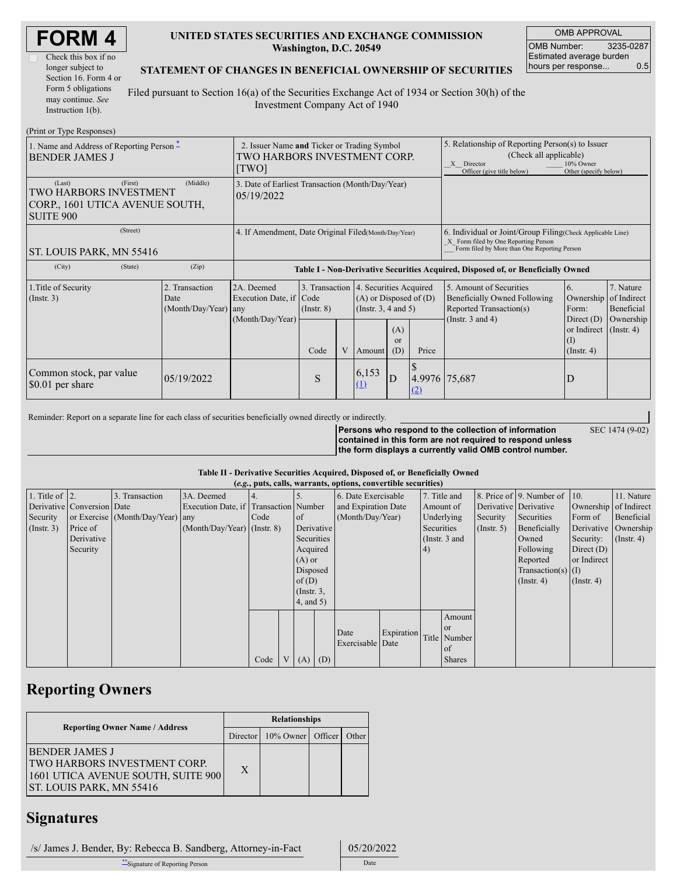| <b>FORM4</b> |  |
|--------------|--|
|--------------|--|

| Check this box if no  |
|-----------------------|
| longer subject to     |
| Section 16. Form 4 or |
| Form 5 obligations    |
| may continue. See     |
| Instruction $1(b)$ .  |

### **UNITED STATES SECURITIES AND EXCHANGE COMMISSION Washington, D.C. 20549**

OMB APPROVAL OMB Number: 3235-0287 Estimated average burden hours per response... 0.5

SEC 1474 (9-02)

### **STATEMENT OF CHANGES IN BENEFICIAL OWNERSHIP OF SECURITIES**

Filed pursuant to Section 16(a) of the Securities Exchange Act of 1934 or Section 30(h) of the Investment Company Act of 1940

| (Print or Type Responses)                                                                   |                                                                                      |                                                                  |                         |   |                                                                                                              |                                                                                                                                                              |                                                                                                                                                    |                                                                                                                    |                                                                                               |                                                                      |
|---------------------------------------------------------------------------------------------|--------------------------------------------------------------------------------------|------------------------------------------------------------------|-------------------------|---|--------------------------------------------------------------------------------------------------------------|--------------------------------------------------------------------------------------------------------------------------------------------------------------|----------------------------------------------------------------------------------------------------------------------------------------------------|--------------------------------------------------------------------------------------------------------------------|-----------------------------------------------------------------------------------------------|----------------------------------------------------------------------|
| 1. Name and Address of Reporting Person $*$<br><b>BENDER JAMES J</b>                        | 2. Issuer Name and Ticker or Trading Symbol<br>TWO HARBORS INVESTMENT CORP.<br>[TWO] |                                                                  |                         |   |                                                                                                              | 5. Relationship of Reporting Person(s) to Issuer<br>(Check all applicable)<br>10% Owner<br>X Director<br>Officer (give title below)<br>Other (specify below) |                                                                                                                                                    |                                                                                                                    |                                                                                               |                                                                      |
| (Last)<br>(First)<br>TWO HARBORS INVESTMENT<br>CORP., 1601 UTICA AVENUE SOUTH,<br>SUITE 900 | 3. Date of Earliest Transaction (Month/Day/Year)<br>05/19/2022                       |                                                                  |                         |   |                                                                                                              |                                                                                                                                                              |                                                                                                                                                    |                                                                                                                    |                                                                                               |                                                                      |
| (Street)<br><b>ST. LOUIS PARK, MN 55416</b>                                                 | 4. If Amendment, Date Original Filed (Month/Day/Year)                                |                                                                  |                         |   |                                                                                                              |                                                                                                                                                              | 6. Individual or Joint/Group Filing Check Applicable Line)<br>X Form filed by One Reporting Person<br>Form filed by More than One Reporting Person |                                                                                                                    |                                                                                               |                                                                      |
| (City)<br>(State)                                                                           | (Zip)                                                                                |                                                                  |                         |   |                                                                                                              |                                                                                                                                                              |                                                                                                                                                    | Table I - Non-Derivative Securities Acquired, Disposed of, or Beneficially Owned                                   |                                                                                               |                                                                      |
| 1. Title of Security<br>$($ Instr. 3 $)$                                                    | 2. Transaction<br>Date<br>(Month/Day/Year)                                           | 2A. Deemed<br>Execution Date, if Code<br>any<br>(Month/Day/Year) | $($ Instr. $8)$<br>Code | V | 3. Transaction 4. Securities Acquired<br>$(A)$ or Disposed of $(D)$<br>(Instr. $3, 4$ and $5$ )<br>(A)<br>or |                                                                                                                                                              | Price                                                                                                                                              | 5. Amount of Securities<br><b>Beneficially Owned Following</b><br>Reported Transaction(s)<br>(Instr. $3$ and $4$ ) | 6.<br>Ownership<br>Form:<br>Direct $(D)$<br>or Indirect<br>$(\mathrm{I})$<br>$($ Instr. 4 $)$ | 7. Nature<br>of Indirect<br>Beneficial<br>Ownership<br>$($ Instr. 4) |
| Common stock, par value<br>\$0.01 per share                                                 | 05/19/2022                                                                           |                                                                  | S                       |   | Amount<br>6,153<br>(1)                                                                                       | (D)<br>$\mathbf{D}$                                                                                                                                          | 4.9976 75,687<br>(2)                                                                                                                               |                                                                                                                    | D                                                                                             |                                                                      |

Reminder: Report on a separate line for each class of securities beneficially owned directly or indirectly.

**Persons who respond to the collection of information contained in this form are not required to respond unless the form displays a currently valid OMB control number.**

#### **Table II - Derivative Securities Acquired, Disposed of, or Beneficially Owned**

|                    | (e.g., puts, calls, warrants, options, convertible securities) |                                  |                                       |      |  |                 |     |                     |            |            |                 |                  |                              |                       |                  |
|--------------------|----------------------------------------------------------------|----------------------------------|---------------------------------------|------|--|-----------------|-----|---------------------|------------|------------|-----------------|------------------|------------------------------|-----------------------|------------------|
| 1. Title of $ 2$ . |                                                                | 3. Transaction                   | 3A. Deemed                            |      |  |                 |     | 6. Date Exercisable |            |            | 7. Title and    |                  | 8. Price of 9. Number of 10. |                       | 11. Nature       |
|                    | Derivative Conversion Date                                     |                                  | Execution Date, if Transaction Number |      |  |                 |     | and Expiration Date |            |            | Amount of       |                  | Derivative Derivative        | Ownership of Indirect |                  |
| Security           |                                                                | or Exercise (Month/Day/Year) any |                                       | Code |  | of              |     | (Month/Day/Year)    |            |            | Underlying      | Security         | Securities                   | Form of               | Beneficial       |
| $($ Instr. 3 $)$   | Price of                                                       |                                  | $(Month/Dav/Year)$ (Instr. 8)         |      |  | Derivative      |     |                     |            | Securities |                 | $($ Instr. 5 $)$ | Beneficially                 | Derivative            | Ownership        |
|                    | Derivative                                                     |                                  |                                       |      |  | Securities      |     |                     |            |            | (Instr. $3$ and |                  | Owned                        | Security:             | $($ Instr. 4 $)$ |
|                    | Security                                                       |                                  |                                       |      |  | Acquired        |     |                     |            | 4)         |                 |                  | Following                    | Direct $(D)$          |                  |
|                    |                                                                |                                  |                                       |      |  | $(A)$ or        |     |                     |            |            |                 |                  | Reported                     | or Indirect           |                  |
|                    |                                                                |                                  |                                       |      |  | Disposed        |     |                     |            |            |                 |                  | Transaction(s) $(I)$         |                       |                  |
|                    |                                                                |                                  |                                       |      |  | of $(D)$        |     |                     |            |            |                 |                  | $($ Instr. 4 $)$             | $($ Instr. 4)         |                  |
|                    |                                                                |                                  |                                       |      |  | $($ Instr. $3,$ |     |                     |            |            |                 |                  |                              |                       |                  |
|                    |                                                                |                                  |                                       |      |  | $4$ , and $5$ ) |     |                     |            |            |                 |                  |                              |                       |                  |
|                    |                                                                |                                  |                                       |      |  |                 |     |                     |            |            | Amount          |                  |                              |                       |                  |
|                    |                                                                |                                  |                                       |      |  |                 |     |                     |            |            | <sub>or</sub>   |                  |                              |                       |                  |
|                    |                                                                |                                  |                                       |      |  |                 |     | Date                | Expiration |            | Title Number    |                  |                              |                       |                  |
|                    |                                                                |                                  |                                       |      |  |                 |     | Exercisable Date    |            |            | of              |                  |                              |                       |                  |
|                    |                                                                |                                  |                                       | Code |  | V(A)            | (D) |                     |            |            | <b>Shares</b>   |                  |                              |                       |                  |

## **Reporting Owners**

|                                                                                                                                | <b>Relationships</b> |                   |  |       |  |  |  |
|--------------------------------------------------------------------------------------------------------------------------------|----------------------|-------------------|--|-------|--|--|--|
| <b>Reporting Owner Name / Address</b>                                                                                          | Director             | 10% Owner Officer |  | Other |  |  |  |
| <b>BENDER JAMES J</b><br><b>TWO HARBORS INVESTMENT CORP.</b><br>1601 UTICA AVENUE SOUTH, SUITE 900<br>ST. LOUIS PARK, MN 55416 | X                    |                   |  |       |  |  |  |

### **Signatures**

 /s/ James J. Bender, By: Rebecca B. Sandberg, Attorney-in-Fact 05/20/2022 \*\*Signature of Reporting Person Date